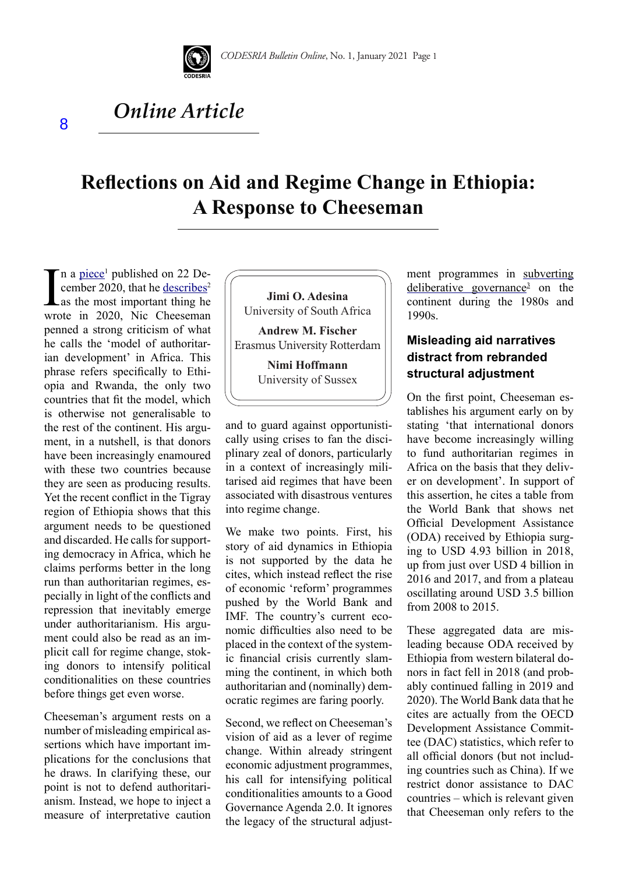

# *Online Article*

# **Reflections on Aid and Regime Change in Ethiopia: A Response to Cheeseman**

 $\sum$ n a piece<sup>1</sup> published on 22 December 2020, that he <u>describes</u><sup>2</sup> as the most important thing he wrote in 2020, Nic Cheeseman n a piece<sup>1</sup> published on 22 December 2020, that he describes<sup>2</sup> as the most important thing he penned a strong criticism of what he calls the 'model of authoritarian development' in Africa. This phrase refers specifically to Ethiopia and Rwanda, the only two countries that fit the model, which is otherwise not generalisable to the rest of the continent. His argument, in a nutshell, is that donors have been increasingly enamoured with these two countries because they are seen as producing results. Yet the recent conflict in the Tigray region of Ethiopia shows that this argument needs to be questioned and discarded. He calls for supporting democracy in Africa, which he claims performs better in the long run than authoritarian regimes, especially in light of the conflicts and repression that inevitably emerge under authoritarianism. His argument could also be read as an implicit call for regime change, stoking donors to intensify political conditionalities on these countries before things get even worse.

Cheeseman's argument rests on a number of misleading empirical assertions which have important implications for the conclusions that he draws. In clarifying these, our point is not to defend authoritarianism. Instead, we hope to inject a measure of interpretative caution



Erasmus University Rotterdam

**Nimi Hoffmann** University of Sussex

and to guard against opportunistically using crises to fan the disciplinary zeal of donors, particularly in a context of increasingly militarised aid regimes that have been associated with disastrous ventures into regime change.

We make two points. First, his story of aid dynamics in Ethiopia is not supported by the data he cites, which instead reflect the rise of economic 'reform' programmes pushed by the World Bank and IMF. The country's current economic difficulties also need to be placed in the context of the systemic financial crisis currently slamming the continent, in which both authoritarian and (nominally) democratic regimes are faring poorly.

Second, we reflect on Cheeseman's vision of aid as a lever of regime change. Within already stringent economic adjustment programmes, his call for intensifying political conditionalities amounts to a Good Governance Agenda 2.0. It ignores the legacy of the structural adjustment programmes in subverting deliberative governance<sup>3</sup> on the continent during the 1980s and 1990s.

## **Misleading aid narratives distract from rebranded structural adjustment**

On the first point, Cheeseman establishes his argument early on by stating 'that international donors have become increasingly willing to fund authoritarian regimes in Africa on the basis that they deliver on development'. In support of this assertion, he cites a table from the World Bank that shows net Official Development Assistance (ODA) received by Ethiopia surging to USD 4.93 billion in 2018, up from just over USD 4 billion in 2016 and 2017, and from a plateau oscillating around USD 3.5 billion from 2008 to 2015.

These aggregated data are misleading because ODA received by Ethiopia from western bilateral donors in fact fell in 2018 (and probably continued falling in 2019 and 2020). The World Bank data that he cites are actually from the OECD Development Assistance Committee (DAC) statistics, which refer to all official donors (but not including countries such as China). If we restrict donor assistance to DAC countries – which is relevant given that Cheeseman only refers to the

8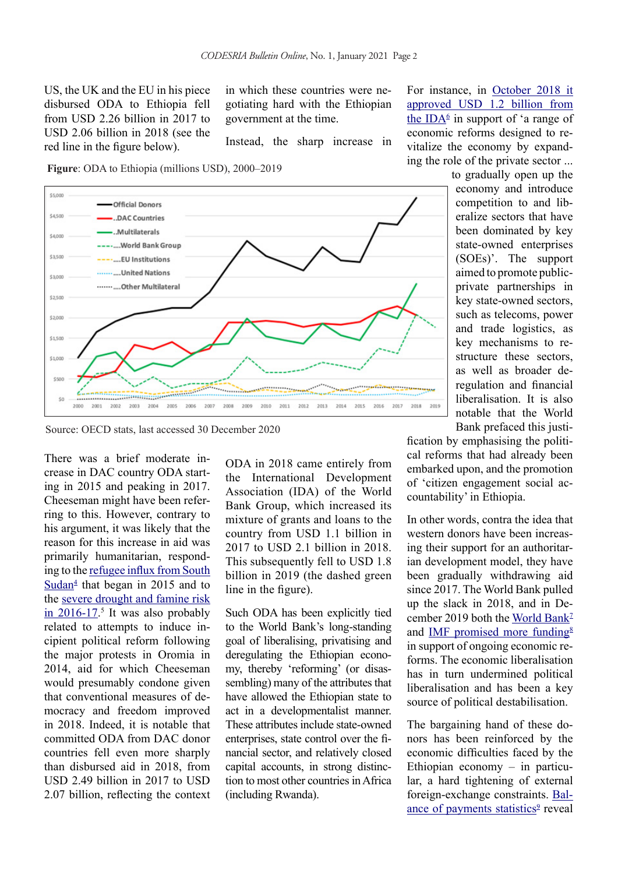US, the UK and the EU in his piece disbursed ODA to Ethiopia fell from USD 2.26 billion in 2017 to USD 2.06 billion in 2018 (see the red line in the figure below).

in which these countries were negotiating hard with the Ethiopian government at the time.

Instead, the sharp increase in

**Figure**: ODA to Ethiopia (millions USD), 2000–2019



Source: OECD stats, last accessed 30 December 2020

There was a brief moderate increase in DAC country ODA starting in 2015 and peaking in 2017. Cheeseman might have been referring to this. However, contrary to his argument, it was likely that the reason for this increase in aid was primarily humanitarian, responding to the refugee influx from South  $\frac{\text{Sudan}^4}{\text{Sudan}^4}$  that began in 2015 and to the severe drought and famine risk  $\frac{\text{in } 2016-17}{\text{in } 2016}$ . It was also probably related to attempts to induce incipient political reform following the major protests in Oromia in 2014, aid for which Cheeseman would presumably condone given that conventional measures of democracy and freedom improved in 2018. Indeed, it is notable that committed ODA from DAC donor countries fell even more sharply than disbursed aid in 2018, from USD 2.49 billion in 2017 to USD 2.07 billion, reflecting the context

ODA in 2018 came entirely from the International Development Association (IDA) of the World Bank Group, which increased its mixture of grants and loans to the country from USD 1.1 billion in 2017 to USD 2.1 billion in 2018. This subsequently fell to USD 1.8 billion in 2019 (the dashed green line in the figure).

Such ODA has been explicitly tied to the World Bank's long-standing goal of liberalising, privatising and deregulating the Ethiopian economy, thereby 'reforming' (or disassembling) many of the attributes that have allowed the Ethiopian state to act in a developmentalist manner. These attributes include state-owned enterprises, state control over the financial sector, and relatively closed capital accounts, in strong distinction to most other countries in Africa (including Rwanda).

For instance, in October 2018 it approved USD 1.2 billion from the ID $A^6$  in support of 'a range of economic reforms designed to revitalize the economy by expanding the role of the private sector ...

to gradually open up the economy and introduce competition to and liberalize sectors that have been dominated by key state-owned enterprises (SOEs)'. The support aimed to promote publicprivate partnerships in key state-owned sectors, such as telecoms, power and trade logistics, as key mechanisms to restructure these sectors, as well as broader deregulation and financial liberalisation. It is also notable that the World Bank prefaced this justi-

fication by emphasising the political reforms that had already been embarked upon, and the promotion of 'citizen engagement social accountability' in Ethiopia.

In other words, contra the idea that western donors have been increasing their support for an authoritarian development model, they have been gradually withdrawing aid since 2017. The World Bank pulled up the slack in 2018, and in December 2019 both the World Bank<sup>1</sup> and IMF promised more funding $8$ in support of ongoing economic reforms. The economic liberalisation has in turn undermined political liberalisation and has been a key source of political destabilisation.

The bargaining hand of these donors has been reinforced by the economic difficulties faced by the Ethiopian economy – in particular, a hard tightening of external foreign-exchange constraints. Balance of payments statistics<sup>9</sup> reveal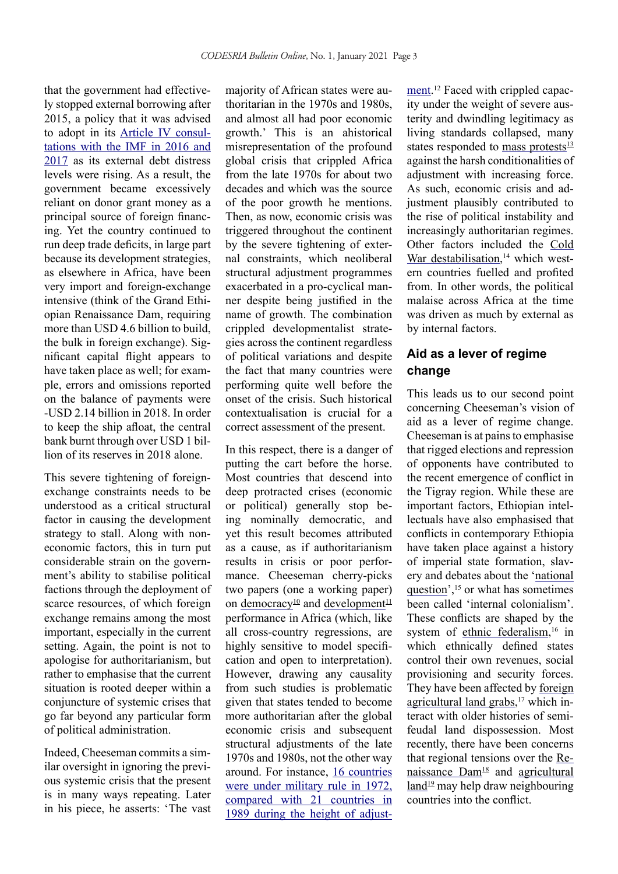that the government had effectively stopped external borrowing after 2015, a policy that it was advised to adopt in its Article IV consultations with the IMF in 2016 and 2017 as its external debt distress levels were rising. As a result, the government became excessively reliant on donor grant money as a principal source of foreign financing. Yet the country continued to run deep trade deficits, in large part because its development strategies, as elsewhere in Africa, have been very import and foreign-exchange intensive (think of the Grand Ethiopian Renaissance Dam, requiring more than USD 4.6 billion to build, the bulk in foreign exchange). Significant capital flight appears to have taken place as well; for example, errors and omissions reported on the balance of payments were -USD 2.14 billion in 2018. In order to keep the ship afloat, the central bank burnt through over USD 1 billion of its reserves in 2018 alone.

This severe tightening of foreignexchange constraints needs to be understood as a critical structural factor in causing the development strategy to stall. Along with noneconomic factors, this in turn put considerable strain on the government's ability to stabilise political factions through the deployment of scarce resources, of which foreign exchange remains among the most important, especially in the current setting. Again, the point is not to apologise for authoritarianism, but rather to emphasise that the current situation is rooted deeper within a conjuncture of systemic crises that go far beyond any particular form of political administration.

Indeed, Cheeseman commits a similar oversight in ignoring the previous systemic crisis that the present is in many ways repeating. Later in his piece, he asserts: 'The vast

majority of African states were authoritarian in the 1970s and 1980s, and almost all had poor economic growth.' This is an ahistorical misrepresentation of the profound global crisis that crippled Africa from the late 1970s for about two decades and which was the source of the poor growth he mentions. Then, as now, economic crisis was triggered throughout the continent by the severe tightening of external constraints, which neoliberal structural adjustment programmes exacerbated in a pro-cyclical manner despite being justified in the name of growth. The combination crippled developmentalist strategies across the continent regardless of political variations and despite the fact that many countries were performing quite well before the onset of the crisis. Such historical contextualisation is crucial for a correct assessment of the present.

In this respect, there is a danger of putting the cart before the horse. Most countries that descend into deep protracted crises (economic or political) generally stop being nominally democratic, and yet this result becomes attributed as a cause, as if authoritarianism results in crisis or poor performance. Cheeseman cherry-picks two papers (one a working paper) on democracy<sup>10</sup> and development<sup>11</sup> performance in Africa (which, like all cross-country regressions, are highly sensitive to model specification and open to interpretation). However, drawing any causality from such studies is problematic given that states tended to become more authoritarian after the global economic crisis and subsequent structural adjustments of the late 1970s and 1980s, not the other way around. For instance, 16 countries were under military rule in 1972, compared with 21 countries in 1989 during the height of adjust-

ment.<sup>12</sup> Faced with crippled capacity under the weight of severe austerity and dwindling legitimacy as living standards collapsed, many states responded to mass protests $\frac{13}{12}$ against the harsh conditionalities of adjustment with increasing force. As such, economic crisis and adjustment plausibly contributed to the rise of political instability and increasingly authoritarian regimes. Other factors included the Cold War destabilisation,<sup>14</sup> which western countries fuelled and profited from. In other words, the political malaise across Africa at the time was driven as much by external as by internal factors.

### **Aid as a lever of regime change**

This leads us to our second point concerning Cheeseman's vision of aid as a lever of regime change. Cheeseman is at pains to emphasise that rigged elections and repression of opponents have contributed to the recent emergence of conflict in the Tigray region. While these are important factors, Ethiopian intellectuals have also emphasised that conflicts in contemporary Ethiopia have taken place against a history of imperial state formation, slavery and debates about the 'national question', $15$  or what has sometimes been called 'internal colonialism'. These conflicts are shaped by the system of ethnic federalism,<sup>16</sup> in which ethnically defined states control their own revenues, social provisioning and security forces. They have been affected by foreign agricultural land grabs,<sup>17</sup> which interact with older histories of semifeudal land dispossession. Most recently, there have been concerns that regional tensions over the Renaissance Dam<sup>18</sup> and agricultural  $land<sup>19</sup>$  may help draw neighbouring countries into the conflict.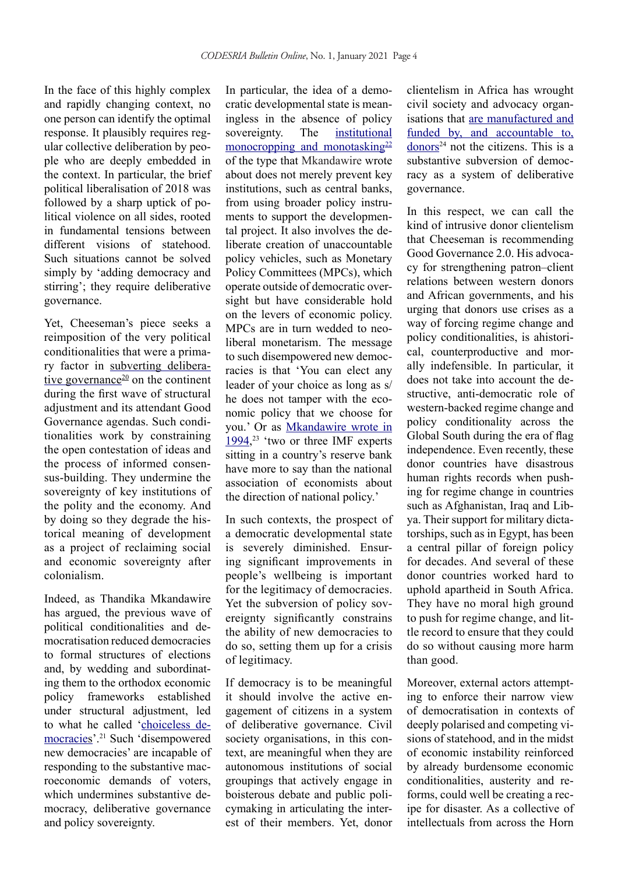In the face of this highly complex and rapidly changing context, no one person can identify the optimal response. It plausibly requires regular collective deliberation by people who are deeply embedded in the context. In particular, the brief political liberalisation of 2018 was followed by a sharp uptick of political violence on all sides, rooted in fundamental tensions between different visions of statehood. Such situations cannot be solved simply by 'adding democracy and stirring'; they require deliberative governance.

Yet, Cheeseman's piece seeks a reimposition of the very political conditionalities that were a primary factor in subverting deliberative governance<sup>20</sup> on the continent during the first wave of structural adjustment and its attendant Good Governance agendas. Such conditionalities work by constraining the open contestation of ideas and the process of informed consensus-building. They undermine the sovereignty of key institutions of the polity and the economy. And by doing so they degrade the historical meaning of development as a project of reclaiming social and economic sovereignty after colonialism.

Indeed, as Thandika Mkandawire has argued, the previous wave of political conditionalities and democratisation reduced democracies to formal structures of elections and, by wedding and subordinating them to the orthodox economic policy frameworks established under structural adjustment, led to what he called 'choiceless democracies'.21 Such 'disempowered new democracies' are incapable of responding to the substantive macroeconomic demands of voters which undermines substantive democracy, deliberative governance and policy sovereignty.

In particular, the idea of a democratic developmental state is meaningless in the absence of policy sovereignty. The institutional monocropping and monotasking $22$ of the type that Mkandawire wrote about does not merely prevent key institutions, such as central banks, from using broader policy instruments to support the developmental project. It also involves the deliberate creation of unaccountable policy vehicles, such as Monetary Policy Committees (MPCs), which operate outside of democratic oversight but have considerable hold on the levers of economic policy. MPCs are in turn wedded to neoliberal monetarism. The message to such disempowered new democracies is that 'You can elect any leader of your choice as long as s/ he does not tamper with the economic policy that we choose for you.' Or as Mkandawire wrote in  $1994$ ,<sup>23</sup> 'two or three IMF experts sitting in a country's reserve bank have more to say than the national association of economists about the direction of national policy.'

In such contexts, the prospect of a democratic developmental state is severely diminished. Ensuring significant improvements in people's wellbeing is important for the legitimacy of democracies. Yet the subversion of policy sovereignty significantly constrains the ability of new democracies to do so, setting them up for a crisis of legitimacy.

If democracy is to be meaningful it should involve the active engagement of citizens in a system of deliberative governance. Civil society organisations, in this context, are meaningful when they are autonomous institutions of social groupings that actively engage in boisterous debate and public policymaking in articulating the interest of their members. Yet, donor clientelism in Africa has wrought civil society and advocacy organisations that are manufactured and funded by, and accountable to,  $\frac{1}{2}$  not the citizens. This is a substantive subversion of democracy as a system of deliberative governance.

In this respect, we can call the kind of intrusive donor clientelism that Cheeseman is recommending Good Governance 2.0. His advocacy for strengthening patron–client relations between western donors and African governments, and his urging that donors use crises as a way of forcing regime change and policy conditionalities, is ahistorical, counterproductive and morally indefensible. In particular, it does not take into account the destructive, anti-democratic role of western-backed regime change and policy conditionality across the Global South during the era of flag independence. Even recently, these donor countries have disastrous human rights records when pushing for regime change in countries such as Afghanistan, Iraq and Libya. Their support for military dictatorships, such as in Egypt, has been a central pillar of foreign policy for decades. And several of these donor countries worked hard to uphold apartheid in South Africa. They have no moral high ground to push for regime change, and little record to ensure that they could do so without causing more harm than good.

Moreover, external actors attempting to enforce their narrow view of democratisation in contexts of deeply polarised and competing visions of statehood, and in the midst of economic instability reinforced by already burdensome economic conditionalities, austerity and reforms, could well be creating a recipe for disaster. As a collective of intellectuals from across the Horn